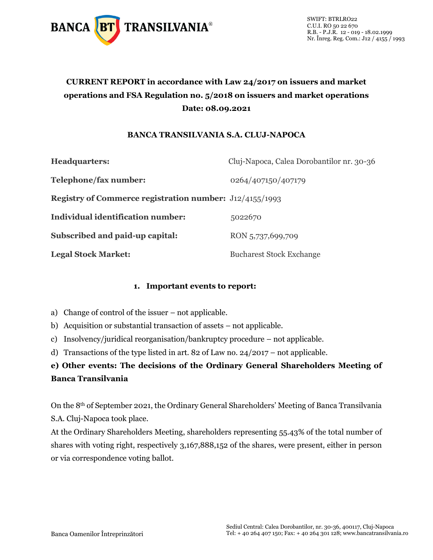

## **CURRENT REPORT in accordance with Law 24/2017 on issuers and market operations and FSA Regulation no. 5/2018 on issuers and market operations Date: 08.09.2021**

## **BANCA TRANSILVANIA S.A. CLUJ-NAPOCA**

| <b>Headquarters:</b>                                           | Cluj-Napoca, Calea Dorobantilor nr. 30-36 |
|----------------------------------------------------------------|-------------------------------------------|
| Telephone/fax number:                                          | 0264/407150/407179                        |
| <b>Registry of Commerce registration number:</b> J12/4155/1993 |                                           |
| Individual identification number:                              | 5022670                                   |
| Subscribed and paid-up capital:                                | RON 5,737,699,709                         |
| <b>Legal Stock Market:</b>                                     | <b>Bucharest Stock Exchange</b>           |

## **1. Important events to report:**

- a) Change of control of the issuer not applicable.
- b) Acquisition or substantial transaction of assets not applicable.
- c) Insolvency/juridical reorganisation/bankruptcy procedure not applicable.
- d) Transactions of the type listed in art. 82 of Law no. 24/2017 not applicable.

## **e) Other events: The decisions of the Ordinary General Shareholders Meeting of Banca Transilvania**

On the 8th of September 2021, the Ordinary General Shareholders' Meeting of Banca Transilvania S.A. Cluj-Napoca took place.

At the Ordinary Shareholders Meeting, shareholders representing 55.43% of the total number of shares with voting right, respectively 3,167,888,152 of the shares, were present, either in person or via correspondence voting ballot.